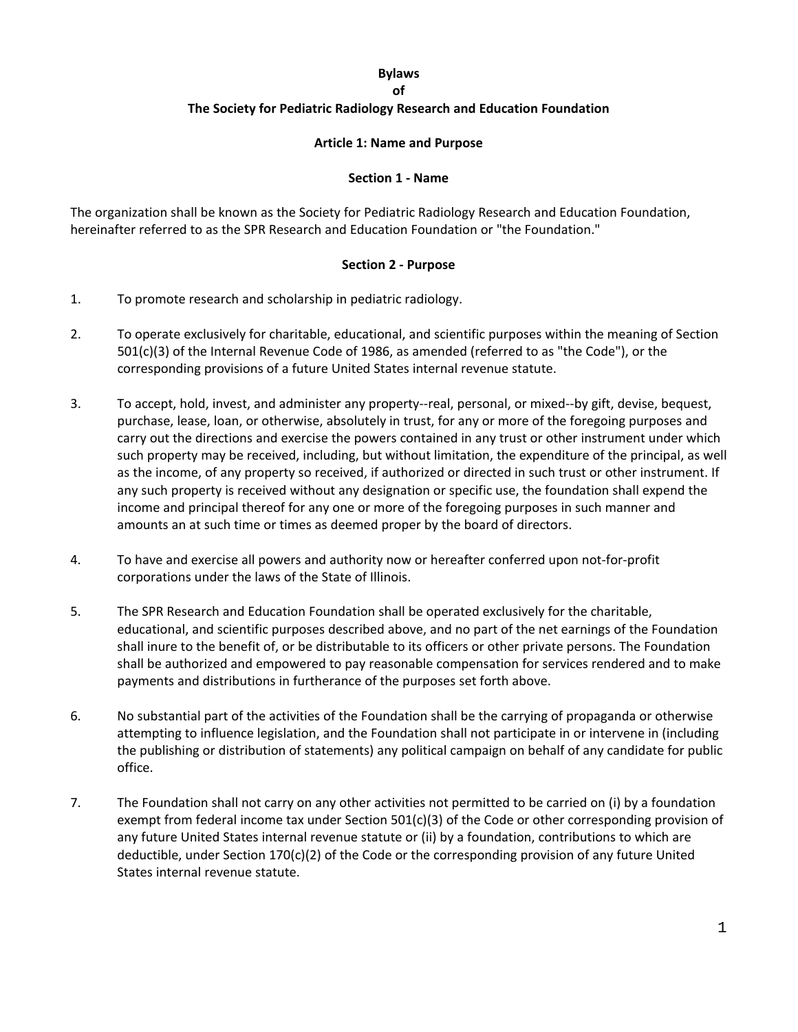#### **Bylaws**

**of** 

#### **The Society for Pediatric Radiology Research and Education Foundation**

#### **Article 1: Name and Purpose**

#### **Section 1 - Name**

The organization shall be known as the Society for Pediatric Radiology Research and Education Foundation, hereinafter referred to as the SPR Research and Education Foundation or "the Foundation."

#### **Section 2 - Purpose**

- 1. To promote research and scholarship in pediatric radiology.
- 2. To operate exclusively for charitable, educational, and scientific purposes within the meaning of Section 501(c)(3) of the Internal Revenue Code of 1986, as amended (referred to as "the Code"), or the corresponding provisions of a future United States internal revenue statute.
- 3. To accept, hold, invest, and administer any property--real, personal, or mixed--by gift, devise, bequest, purchase, lease, loan, or otherwise, absolutely in trust, for any or more of the foregoing purposes and carry out the directions and exercise the powers contained in any trust or other instrument under which such property may be received, including, but without limitation, the expenditure of the principal, as well as the income, of any property so received, if authorized or directed in such trust or other instrument. If any such property is received without any designation or specific use, the foundation shall expend the income and principal thereof for any one or more of the foregoing purposes in such manner and amounts an at such time or times as deemed proper by the board of directors.
- 4. To have and exercise all powers and authority now or hereafter conferred upon not-for-profit corporations under the laws of the State of Illinois.
- 5. The SPR Research and Education Foundation shall be operated exclusively for the charitable, educational, and scientific purposes described above, and no part of the net earnings of the Foundation shall inure to the benefit of, or be distributable to its officers or other private persons. The Foundation shall be authorized and empowered to pay reasonable compensation for services rendered and to make payments and distributions in furtherance of the purposes set forth above.
- 6. No substantial part of the activities of the Foundation shall be the carrying of propaganda or otherwise attempting to influence legislation, and the Foundation shall not participate in or intervene in (including the publishing or distribution of statements) any political campaign on behalf of any candidate for public office.
- 7. The Foundation shall not carry on any other activities not permitted to be carried on (i) by a foundation exempt from federal income tax under Section 501(c)(3) of the Code or other corresponding provision of any future United States internal revenue statute or (ii) by a foundation, contributions to which are deductible, under Section 170(c)(2) of the Code or the corresponding provision of any future United States internal revenue statute.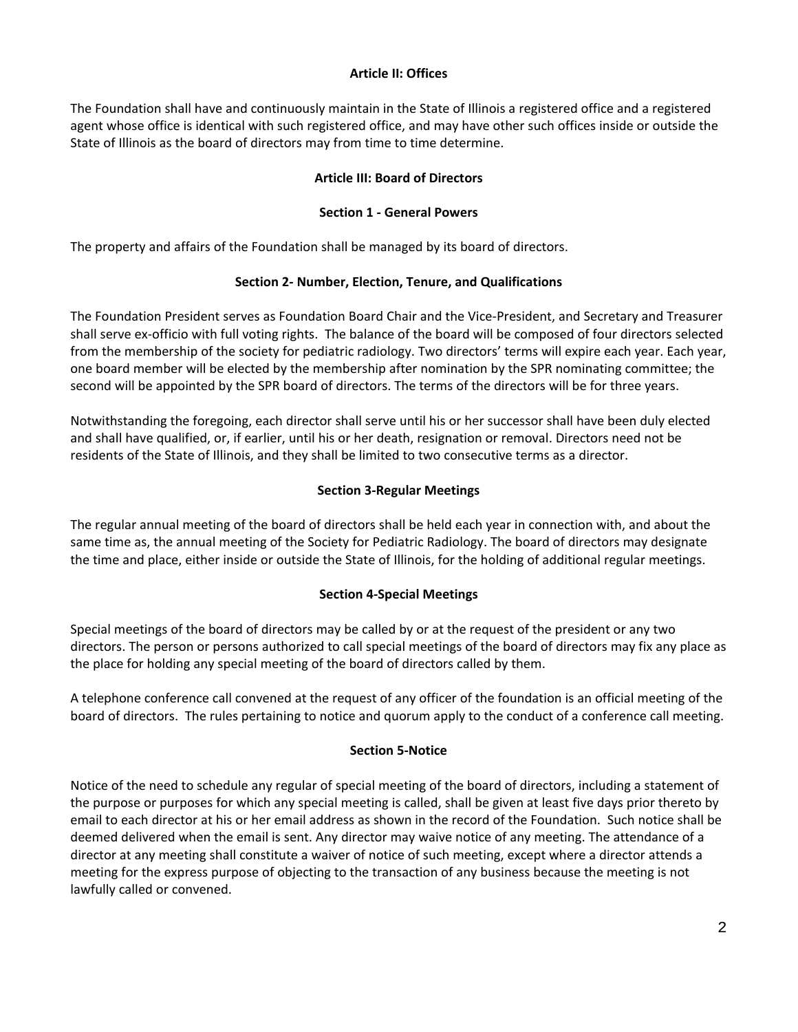#### **Article II: Offices**

The Foundation shall have and continuously maintain in the State of Illinois a registered office and a registered agent whose office is identical with such registered office, and may have other such offices inside or outside the State of Illinois as the board of directors may from time to time determine.

# **Article III: Board of Directors**

# **Section 1 - General Powers**

The property and affairs of the Foundation shall be managed by its board of directors.

# **Section 2- Number, Election, Tenure, and Qualifications**

The Foundation President serves as Foundation Board Chair and the Vice-President, and Secretary and Treasurer shall serve ex-officio with full voting rights. The balance of the board will be composed of four directors selected from the membership of the society for pediatric radiology. Two directors' terms will expire each year. Each year, one board member will be elected by the membership after nomination by the SPR nominating committee; the second will be appointed by the SPR board of directors. The terms of the directors will be for three years.

Notwithstanding the foregoing, each director shall serve until his or her successor shall have been duly elected and shall have qualified, or, if earlier, until his or her death, resignation or removal. Directors need not be residents of the State of Illinois, and they shall be limited to two consecutive terms as a director.

# **Section 3-Regular Meetings**

The regular annual meeting of the board of directors shall be held each year in connection with, and about the same time as, the annual meeting of the Society for Pediatric Radiology. The board of directors may designate the time and place, either inside or outside the State of Illinois, for the holding of additional regular meetings.

# **Section 4-Special Meetings**

Special meetings of the board of directors may be called by or at the request of the president or any two directors. The person or persons authorized to call special meetings of the board of directors may fix any place as the place for holding any special meeting of the board of directors called by them.

A telephone conference call convened at the request of any officer of the foundation is an official meeting of the board of directors. The rules pertaining to notice and quorum apply to the conduct of a conference call meeting.

### **Section 5-Notice**

Notice of the need to schedule any regular of special meeting of the board of directors, including a statement of the purpose or purposes for which any special meeting is called, shall be given at least five days prior thereto by email to each director at his or her email address as shown in the record of the Foundation. Such notice shall be deemed delivered when the email is sent. Any director may waive notice of any meeting. The attendance of a director at any meeting shall constitute a waiver of notice of such meeting, except where a director attends a meeting for the express purpose of objecting to the transaction of any business because the meeting is not lawfully called or convened.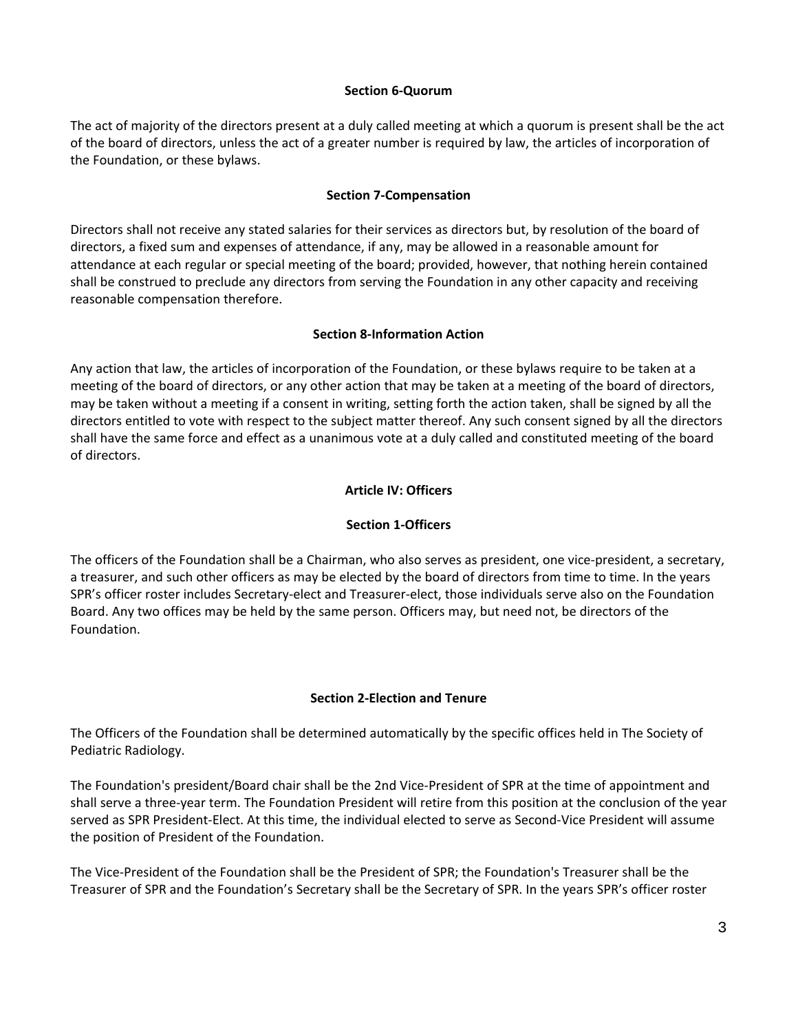#### **Section 6-Quorum**

The act of majority of the directors present at a duly called meeting at which a quorum is present shall be the act of the board of directors, unless the act of a greater number is required by law, the articles of incorporation of the Foundation, or these bylaws.

#### **Section 7-Compensation**

Directors shall not receive any stated salaries for their services as directors but, by resolution of the board of directors, a fixed sum and expenses of attendance, if any, may be allowed in a reasonable amount for attendance at each regular or special meeting of the board; provided, however, that nothing herein contained shall be construed to preclude any directors from serving the Foundation in any other capacity and receiving reasonable compensation therefore.

### **Section 8-Information Action**

Any action that law, the articles of incorporation of the Foundation, or these bylaws require to be taken at a meeting of the board of directors, or any other action that may be taken at a meeting of the board of directors, may be taken without a meeting if a consent in writing, setting forth the action taken, shall be signed by all the directors entitled to vote with respect to the subject matter thereof. Any such consent signed by all the directors shall have the same force and effect as a unanimous vote at a duly called and constituted meeting of the board of directors.

# **Article IV: Officers**

### **Section 1-Officers**

The officers of the Foundation shall be a Chairman, who also serves as president, one vice-president, a secretary, a treasurer, and such other officers as may be elected by the board of directors from time to time. In the years SPR's officer roster includes Secretary-elect and Treasurer-elect, those individuals serve also on the Foundation Board. Any two offices may be held by the same person. Officers may, but need not, be directors of the Foundation.

### **Section 2-Election and Tenure**

The Officers of the Foundation shall be determined automatically by the specific offices held in The Society of Pediatric Radiology.

The Foundation's president/Board chair shall be the 2nd Vice-President of SPR at the time of appointment and shall serve a three-year term. The Foundation President will retire from this position at the conclusion of the year served as SPR President-Elect. At this time, the individual elected to serve as Second-Vice President will assume the position of President of the Foundation.

The Vice-President of the Foundation shall be the President of SPR; the Foundation's Treasurer shall be the Treasurer of SPR and the Foundation's Secretary shall be the Secretary of SPR. In the years SPR's officer roster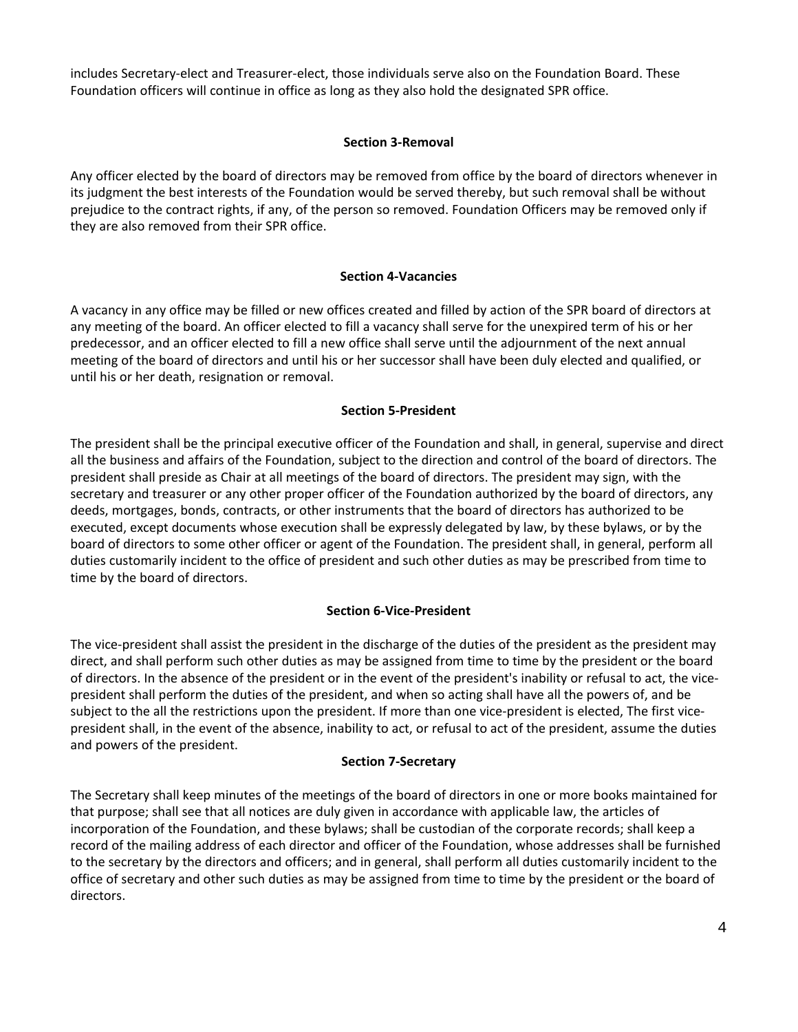includes Secretary-elect and Treasurer-elect, those individuals serve also on the Foundation Board. These Foundation officers will continue in office as long as they also hold the designated SPR office.

# **Section 3-Removal**

Any officer elected by the board of directors may be removed from office by the board of directors whenever in its judgment the best interests of the Foundation would be served thereby, but such removal shall be without prejudice to the contract rights, if any, of the person so removed. Foundation Officers may be removed only if they are also removed from their SPR office.

### **Section 4-Vacancies**

A vacancy in any office may be filled or new offices created and filled by action of the SPR board of directors at any meeting of the board. An officer elected to fill a vacancy shall serve for the unexpired term of his or her predecessor, and an officer elected to fill a new office shall serve until the adjournment of the next annual meeting of the board of directors and until his or her successor shall have been duly elected and qualified, or until his or her death, resignation or removal.

### **Section 5-President**

The president shall be the principal executive officer of the Foundation and shall, in general, supervise and direct all the business and affairs of the Foundation, subject to the direction and control of the board of directors. The president shall preside as Chair at all meetings of the board of directors. The president may sign, with the secretary and treasurer or any other proper officer of the Foundation authorized by the board of directors, any deeds, mortgages, bonds, contracts, or other instruments that the board of directors has authorized to be executed, except documents whose execution shall be expressly delegated by law, by these bylaws, or by the board of directors to some other officer or agent of the Foundation. The president shall, in general, perform all duties customarily incident to the office of president and such other duties as may be prescribed from time to time by the board of directors.

### **Section 6-Vice-President**

The vice-president shall assist the president in the discharge of the duties of the president as the president may direct, and shall perform such other duties as may be assigned from time to time by the president or the board of directors. In the absence of the president or in the event of the president's inability or refusal to act, the vicepresident shall perform the duties of the president, and when so acting shall have all the powers of, and be subject to the all the restrictions upon the president. If more than one vice-president is elected, The first vicepresident shall, in the event of the absence, inability to act, or refusal to act of the president, assume the duties and powers of the president.

### **Section 7-Secretary**

The Secretary shall keep minutes of the meetings of the board of directors in one or more books maintained for that purpose; shall see that all notices are duly given in accordance with applicable law, the articles of incorporation of the Foundation, and these bylaws; shall be custodian of the corporate records; shall keep a record of the mailing address of each director and officer of the Foundation, whose addresses shall be furnished to the secretary by the directors and officers; and in general, shall perform all duties customarily incident to the office of secretary and other such duties as may be assigned from time to time by the president or the board of directors.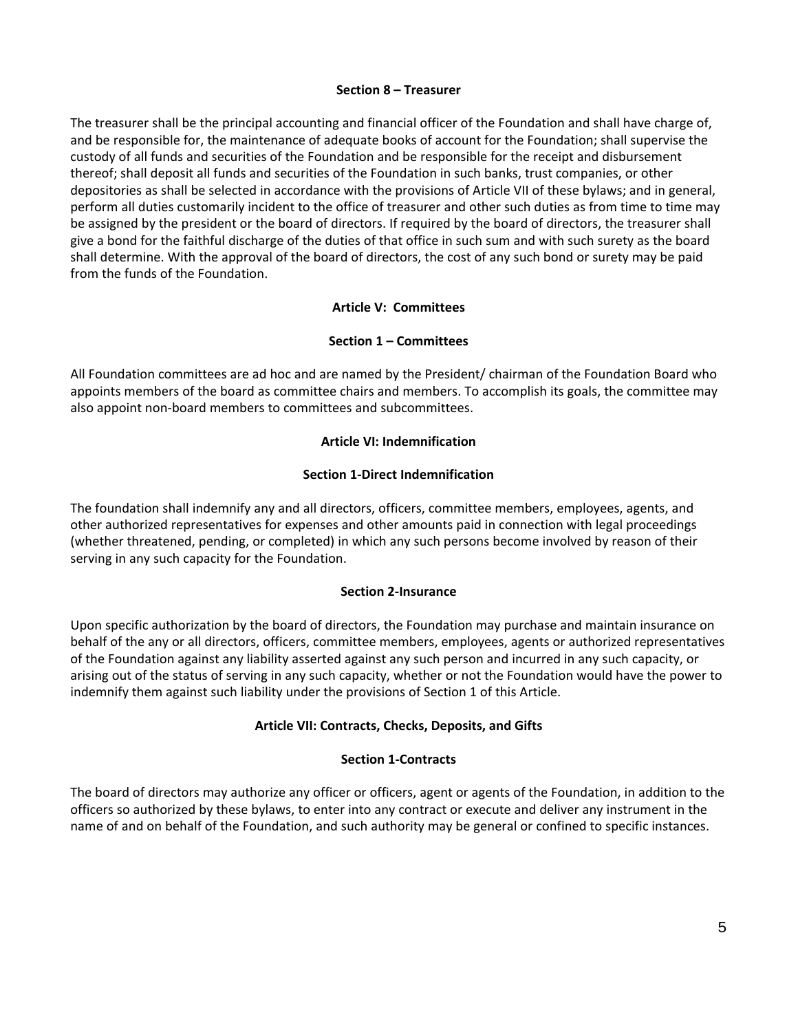#### **Section 8 – Treasurer**

The treasurer shall be the principal accounting and financial officer of the Foundation and shall have charge of, and be responsible for, the maintenance of adequate books of account for the Foundation; shall supervise the custody of all funds and securities of the Foundation and be responsible for the receipt and disbursement thereof; shall deposit all funds and securities of the Foundation in such banks, trust companies, or other depositories as shall be selected in accordance with the provisions of Article VII of these bylaws; and in general, perform all duties customarily incident to the office of treasurer and other such duties as from time to time may be assigned by the president or the board of directors. If required by the board of directors, the treasurer shall give a bond for the faithful discharge of the duties of that office in such sum and with such surety as the board shall determine. With the approval of the board of directors, the cost of any such bond or surety may be paid from the funds of the Foundation.

#### **Article V: Committees**

### **Section 1 – Committees**

All Foundation committees are ad hoc and are named by the President/ chairman of the Foundation Board who appoints members of the board as committee chairs and members. To accomplish its goals, the committee may also appoint non-board members to committees and subcommittees.

#### **Article VI: Indemnification**

#### **Section 1-Direct Indemnification**

The foundation shall indemnify any and all directors, officers, committee members, employees, agents, and other authorized representatives for expenses and other amounts paid in connection with legal proceedings (whether threatened, pending, or completed) in which any such persons become involved by reason of their serving in any such capacity for the Foundation.

#### **Section 2-Insurance**

Upon specific authorization by the board of directors, the Foundation may purchase and maintain insurance on behalf of the any or all directors, officers, committee members, employees, agents or authorized representatives of the Foundation against any liability asserted against any such person and incurred in any such capacity, or arising out of the status of serving in any such capacity, whether or not the Foundation would have the power to indemnify them against such liability under the provisions of Section 1 of this Article.

### **Article VII: Contracts, Checks, Deposits, and Gifts**

### **Section 1-Contracts**

The board of directors may authorize any officer or officers, agent or agents of the Foundation, in addition to the officers so authorized by these bylaws, to enter into any contract or execute and deliver any instrument in the name of and on behalf of the Foundation, and such authority may be general or confined to specific instances.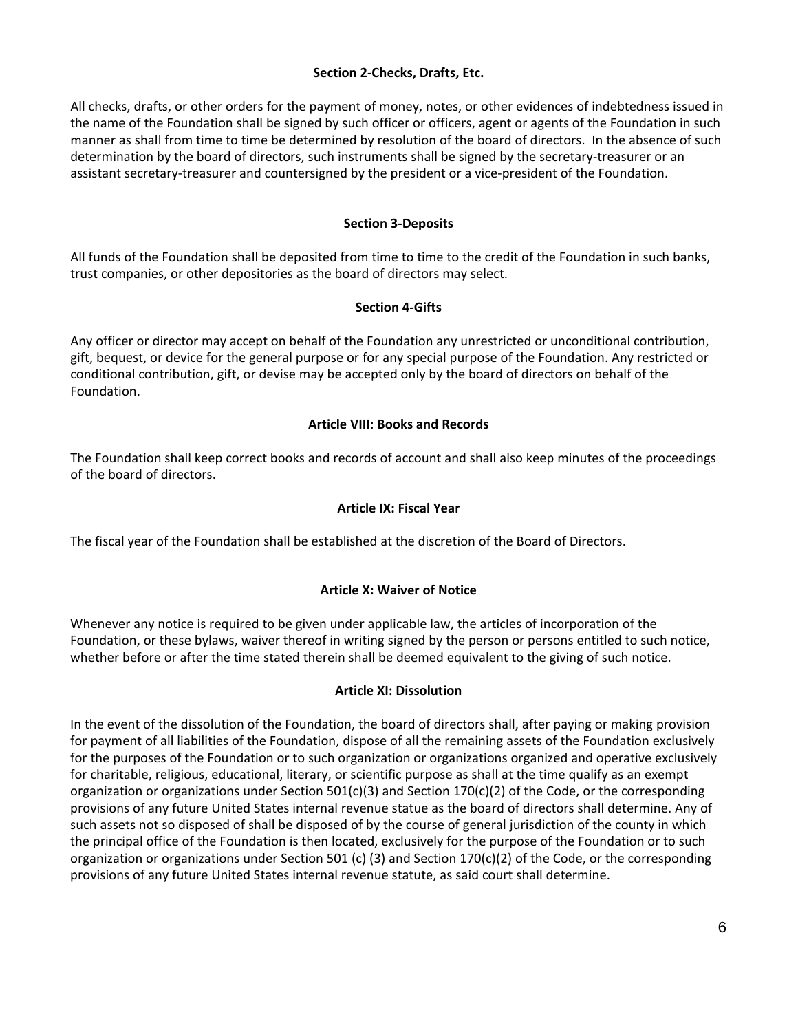### **Section 2-Checks, Drafts, Etc.**

All checks, drafts, or other orders for the payment of money, notes, or other evidences of indebtedness issued in the name of the Foundation shall be signed by such officer or officers, agent or agents of the Foundation in such manner as shall from time to time be determined by resolution of the board of directors. In the absence of such determination by the board of directors, such instruments shall be signed by the secretary-treasurer or an assistant secretary-treasurer and countersigned by the president or a vice-president of the Foundation.

# **Section 3-Deposits**

All funds of the Foundation shall be deposited from time to time to the credit of the Foundation in such banks, trust companies, or other depositories as the board of directors may select.

### **Section 4-Gifts**

Any officer or director may accept on behalf of the Foundation any unrestricted or unconditional contribution, gift, bequest, or device for the general purpose or for any special purpose of the Foundation. Any restricted or conditional contribution, gift, or devise may be accepted only by the board of directors on behalf of the Foundation.

# **Article VIII: Books and Records**

The Foundation shall keep correct books and records of account and shall also keep minutes of the proceedings of the board of directors.

# **Article IX: Fiscal Year**

The fiscal year of the Foundation shall be established at the discretion of the Board of Directors.

# **Article X: Waiver of Notice**

Whenever any notice is required to be given under applicable law, the articles of incorporation of the Foundation, or these bylaws, waiver thereof in writing signed by the person or persons entitled to such notice, whether before or after the time stated therein shall be deemed equivalent to the giving of such notice.

### **Article XI: Dissolution**

In the event of the dissolution of the Foundation, the board of directors shall, after paying or making provision for payment of all liabilities of the Foundation, dispose of all the remaining assets of the Foundation exclusively for the purposes of the Foundation or to such organization or organizations organized and operative exclusively for charitable, religious, educational, literary, or scientific purpose as shall at the time qualify as an exempt organization or organizations under Section 501(c)(3) and Section 170(c)(2) of the Code, or the corresponding provisions of any future United States internal revenue statue as the board of directors shall determine. Any of such assets not so disposed of shall be disposed of by the course of general jurisdiction of the county in which the principal office of the Foundation is then located, exclusively for the purpose of the Foundation or to such organization or organizations under Section 501 (c) (3) and Section 170(c)(2) of the Code, or the corresponding provisions of any future United States internal revenue statute, as said court shall determine.